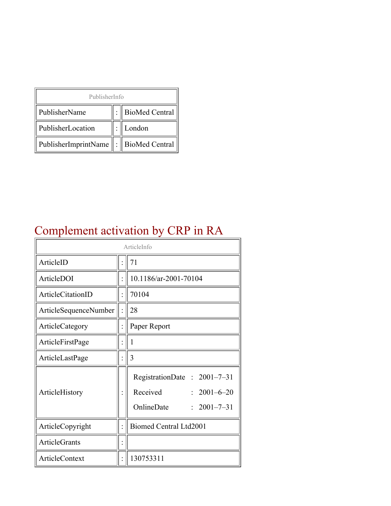| PublisherInfo                               |  |                    |  |  |
|---------------------------------------------|--|--------------------|--|--|
| PublisherName                               |  | :   BioMed Central |  |  |
| PublisherLocation                           |  | London             |  |  |
| PublisherImprintName    :    BioMed Central |  |                    |  |  |

# Complement activation by CRP in RA

| ArticleInfo           |  |                                                                                                 |
|-----------------------|--|-------------------------------------------------------------------------------------------------|
| ArticleID             |  | 71                                                                                              |
| ArticleDOI            |  | 10.1186/ar-2001-70104                                                                           |
| ArticleCitationID     |  | 70104                                                                                           |
| ArticleSequenceNumber |  | 28                                                                                              |
| ArticleCategory       |  | Paper Report                                                                                    |
| ArticleFirstPage      |  | 1                                                                                               |
| ArticleLastPage       |  | 3                                                                                               |
| ArticleHistory        |  | RegistrationDate: 2001-7-31<br>Received<br>$: 2001 - 6 - 20$<br>OnlineDate<br>$: 2001 - 7 - 31$ |
| ArticleCopyright      |  | <b>Biomed Central Ltd2001</b>                                                                   |
| ArticleGrants         |  |                                                                                                 |
| ArticleContext        |  | 130753311                                                                                       |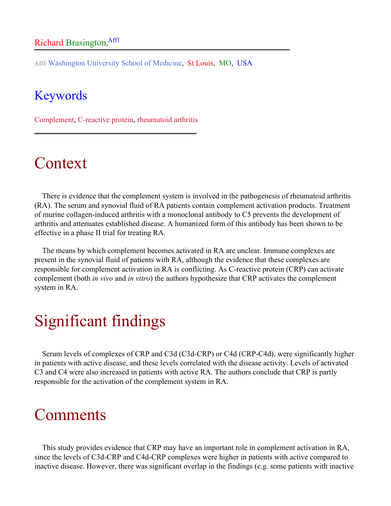#### Richard Brasington, Aff1

Aff1 Washington University School of Medicine, St Louis, MO, USA

#### Keywords

Complement, C-reactive protein, rheumatoid arthritis

### Context

There is evidence that the complement system is involved in the pathogenesis of rheumatoid arthritis (RA). The serum and synovial fluid of RA patients contain complement activation products. Treatment of murine collagen-induced arthritis with a monoclonal antibody to C5 prevents the development of arthritis and attenuates established disease. A humanized form of this antibody has been shown to be effective in a phase II trial for treating RA.

The means by which complement becomes activated in RA are unclear. Immune complexes are present in the synovial fluid of patients with RA, although the evidence that these complexes are responsible for complement activation in RA is conflicting. As C-reactive protein (CRP) can activate complement (both *in vivo* and *in vitro*) the authors hypothesize that CRP activates the complement system in RA.

## Significant findings

Serum levels of complexes of CRP and C3d (C3d-CRP) or C4d (CRP-C4d), were significantly higher in patients with active disease, and these levels correlated with the disease activity. Levels of activated C3 and C4 were also increased in patients with active RA. The authors conclude that CRP is partly responsible for the activation of the complement system in RA.

### **Comments**

This study provides evidence that CRP may have an important role in complement activation in RA, since the levels of C3d-CRP and C4d-CRP complexes were higher in patients with active compared to inactive disease. However, there was significant overlap in the findings (e.g. some patients with inactive